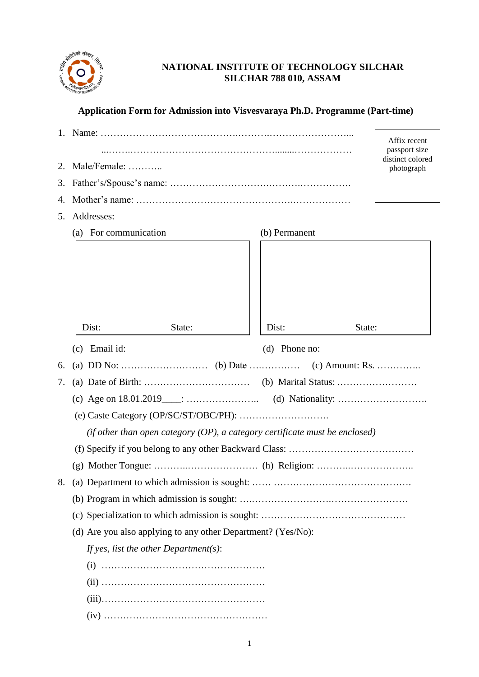

# **NATIONAL INSTITUTE OF TECHNOLOGY SILCHAR SILCHAR 788 010, ASSAM**

## **Application Form for Admission into Visvesvaraya Ph.D. Programme (Part-time)**

|                                                                                |                                                              |                 | Affix recent<br>passport size<br>distinct colored |
|--------------------------------------------------------------------------------|--------------------------------------------------------------|-----------------|---------------------------------------------------|
| 2.                                                                             | Male/Female:                                                 |                 | photograph                                        |
| 3.                                                                             |                                                              |                 |                                                   |
| 4.                                                                             |                                                              |                 |                                                   |
| 5.                                                                             | Addresses:                                                   |                 |                                                   |
|                                                                                | (a) For communication                                        | (b) Permanent   |                                                   |
|                                                                                | State:<br>Dist:                                              | Dist:<br>State: |                                                   |
|                                                                                |                                                              |                 |                                                   |
|                                                                                | (c) Email id:                                                | $(d)$ Phone no: |                                                   |
| 6.                                                                             |                                                              |                 |                                                   |
| 7.                                                                             |                                                              |                 |                                                   |
|                                                                                |                                                              |                 |                                                   |
|                                                                                |                                                              |                 |                                                   |
| (if other than open category $(OP)$ , a category certificate must be enclosed) |                                                              |                 |                                                   |
|                                                                                |                                                              |                 |                                                   |
|                                                                                |                                                              |                 |                                                   |
|                                                                                |                                                              |                 |                                                   |
|                                                                                |                                                              |                 |                                                   |
|                                                                                |                                                              |                 |                                                   |
|                                                                                | (d) Are you also applying to any other Department? (Yes/No): |                 |                                                   |
|                                                                                | If yes, list the other Department(s):                        |                 |                                                   |
|                                                                                |                                                              |                 |                                                   |
|                                                                                |                                                              |                 |                                                   |
|                                                                                |                                                              |                 |                                                   |
|                                                                                |                                                              |                 |                                                   |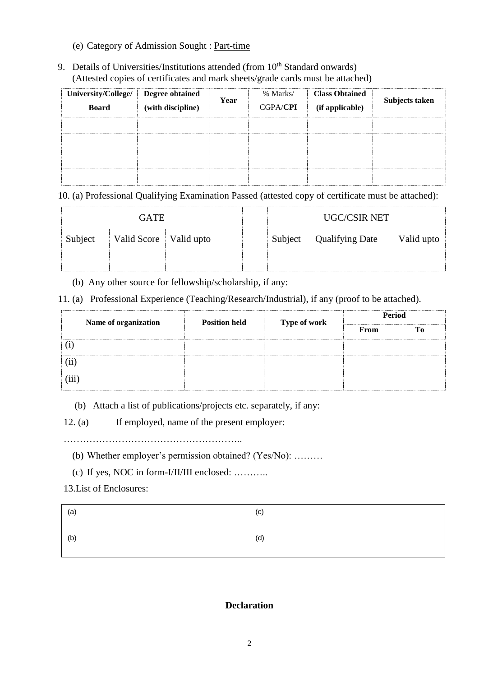- (e) Category of Admission Sought : Part-time
- 9. Details of Universities/Institutions attended (from 10<sup>th</sup> Standard onwards) (Attested copies of certificates and mark sheets/grade cards must be attached)

| University/College/<br><b>Board</b> | Degree obtained<br>(with discipline) | Year | % Marks/<br><b>CGPA/CPI</b> | <b>Class Obtained</b><br>(if applicable) | Subjects taken |
|-------------------------------------|--------------------------------------|------|-----------------------------|------------------------------------------|----------------|
|                                     |                                      |      |                             |                                          |                |
|                                     |                                      |      |                             |                                          |                |
|                                     |                                      |      |                             |                                          |                |
|                                     |                                      |      |                             |                                          |                |

10. (a) Professional Qualifying Examination Passed (attested copy of certificate must be attached):

| <b>GATE</b> |                          |  | <b>UGC/CSIR NET</b> |                        |            |
|-------------|--------------------------|--|---------------------|------------------------|------------|
| Subject     | Valid Score   Valid upto |  | Subject             | <b>Qualifying Date</b> | Valid upto |
|             |                          |  |                     |                        |            |

(b) Any other source for fellowship/scholarship, if any:

11. (a) Professional Experience (Teaching/Research/Industrial), if any (proof to be attached).

| Name of organization | <b>Position held</b> | <b>Type of work</b> | <b>Period</b> |    |
|----------------------|----------------------|---------------------|---------------|----|
|                      |                      |                     | From          | Tо |
|                      |                      |                     |               |    |
| $\overline{\rm(ii)}$ |                      |                     |               |    |
| (iii)                |                      |                     |               |    |

(b) Attach a list of publications/projects etc. separately, if any:

12. (a) If employed, name of the present employer:

………………………………………………..

(b) Whether employer's permission obtained? (Yes/No): ………

(c) If yes, NOC in form-I/II/III enclosed: ………..

13.List of Enclosures:

| (a) | (c) |
|-----|-----|
| (b) | (d) |

## **Declaration**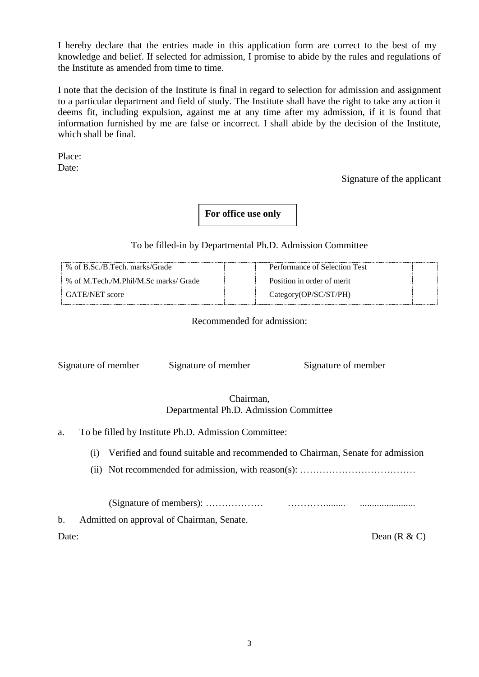I hereby declare that the entries made in this application form are correct to the best of my knowledge and belief. If selected for admission, I promise to abide by the rules and regulations of the Institute as amended from time to time.

I note that the decision of the Institute is final in regard to selection for admission and assignment to a particular department and field of study. The Institute shall have the right to take any action it deems fit, including expulsion, against me at any time after my admission, if it is found that information furnished by me are false or incorrect. I shall abide by the decision of the Institute, which shall be final.

Place: Date:

Signature of the applicant

# **For office use only**

## To be filled-in by Departmental Ph.D. Admission Committee

| % of B.Sc./B.Tech. marks/Grade        | Performance of Selection Test |
|---------------------------------------|-------------------------------|
| % of M.Tech./M.Phil/M.Sc marks/ Grade | Position in order of merit    |
| GATE/NET score                        | Category(OP/SC/ST/PH)         |

Recommended for admission:

Signature of member Signature of member Signature of member

## Chairman, Departmental Ph.D. Admission Committee

- a. To be filled by Institute Ph.D. Admission Committee:
	- (i) Verified and found suitable and recommended to Chairman, Senate for admission
	- (ii) Not recommended for admission, with reason(s): ……………………………………………………………………………

(Signature of members): ……………… …………........ .......................

b. Admitted on approval of Chairman, Senate.

Date: Dean (R & C)